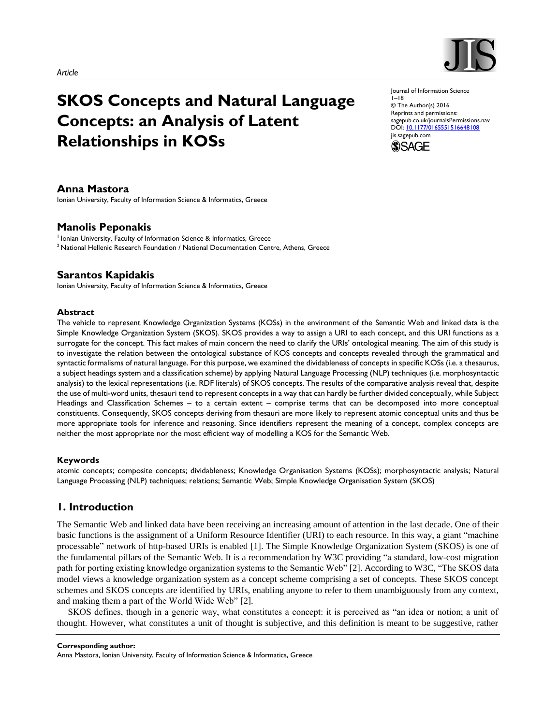

# **SKOS Concepts and Natural Language Concepts: an Analysis of Latent Relationships in KOSs**

# **Anna Mastora**

Ionian University, Faculty of Information Science & Informatics, Greece

## **Manolis Peponakis**

<sup>1</sup> Ionian University, Faculty of Information Science & Informatics, Greece <sup>2</sup> National Hellenic Research Foundation / National Documentation Centre, Athens, Greece

## **Sarantos Kapidakis**

Ionian University, Faculty of Information Science & Informatics, Greece

### **Abstract**

The vehicle to represent Knowledge Organization Systems (KOSs) in the environment of the Semantic Web and linked data is the Simple Knowledge Organization System (SKOS). SKOS provides a way to assign a URI to each concept, and this URI functions as a surrogate for the concept. This fact makes of main concern the need to clarify the URIs' ontological meaning. The aim of this study is to investigate the relation between the ontological substance of KOS concepts and concepts revealed through the grammatical and syntactic formalisms of natural language. For this purpose, we examined the dividableness of concepts in specific KOSs (i.e. a thesaurus, a subject headings system and a classification scheme) by applying Natural Language Processing (NLP) techniques (i.e. morphosyntactic analysis) to the lexical representations (i.e. RDF literals) of SKOS concepts. The results of the comparative analysis reveal that, despite the use of multi-word units, thesauri tend to represent concepts in a way that can hardly be further divided conceptually, while Subject Headings and Classification Schemes – to a certain extent – comprise terms that can be decomposed into more conceptual constituents. Consequently, SKOS concepts deriving from thesauri are more likely to represent atomic conceptual units and thus be more appropriate tools for inference and reasoning. Since identifiers represent the meaning of a concept, complex concepts are neither the most appropriate nor the most efficient way of modelling a KOS for the Semantic Web.

### **Keywords**

atomic concepts; composite concepts; dividableness; Knowledge Organisation Systems (KOSs); morphosyntactic analysis; Natural Language Processing (NLP) techniques; relations; Semantic Web; Simple Knowledge Organisation System (SKOS)

# **1. Introduction**

The Semantic Web and linked data have been receiving an increasing amount of attention in the last decade. One of their basic functions is the assignment of a Uniform Resource Identifier (URI) to each resource. In this way, a giant "machine processable" network of http-based URIs is enabled [1]. The Simple Knowledge Organization System (SKOS) is one of the fundamental pillars of the Semantic Web. It is a recommendation by W3C providing "a standard, low-cost migration path for porting existing knowledge organization systems to the Semantic Web" [2]. According to W3C, "The SKOS data model views a knowledge organization system as a concept scheme comprising a set of concepts. These SKOS concept schemes and SKOS concepts are identified by URIs, enabling anyone to refer to them unambiguously from any context, and making them a part of the World Wide Web" [2].

SKOS defines, though in a generic way, what constitutes a concept: it is perceived as "an idea or notion; a unit of thought. However, what constitutes a unit of thought is subjective, and this definition is meant to be suggestive, rather

Journal of Information Science  $1 - 18$ © The Author(s) 2016 Reprints and permissions: sagepub.co.uk/journalsPermissions.nav DOI[: 10.1177/0165551516648108](http://dx.doi.org/10.1177/0165551516648108) jis.sagepub.com

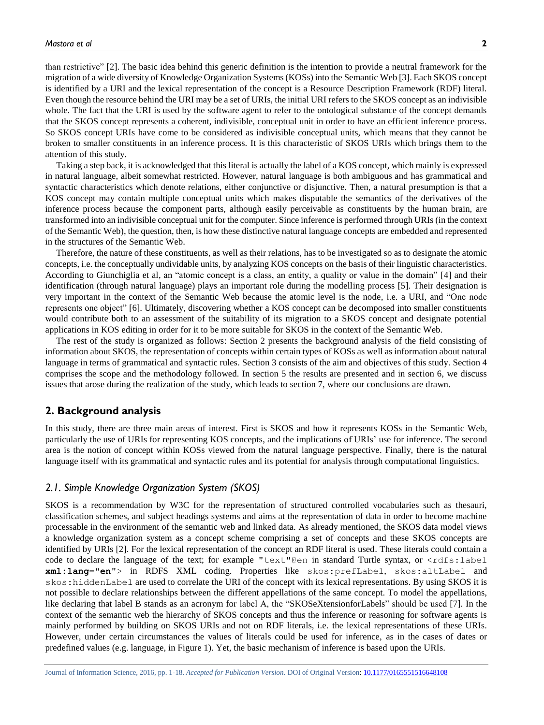than restrictive" [2]. The basic idea behind this generic definition is the intention to provide a neutral framework for the migration of a wide diversity of Knowledge Organization Systems (KOSs) into the Semantic Web [3]. Each SKOS concept is identified by a URI and the lexical representation of the concept is a Resource Description Framework (RDF) literal. Even though the resource behind the URI may be a set of URIs, the initial URI refers to the SKOS concept as an indivisible whole. The fact that the URI is used by the software agent to refer to the ontological substance of the concept demands that the SKOS concept represents a coherent, indivisible, conceptual unit in order to have an efficient inference process. So SKOS concept URIs have come to be considered as indivisible conceptual units, which means that they cannot be broken to smaller constituents in an inference process. It is this characteristic of SKOS URIs which brings them to the attention of this study.

Taking a step back, it is acknowledged that this literal is actually the label of a KOS concept, which mainly is expressed in natural language, albeit somewhat restricted. However, natural language is both ambiguous and has grammatical and syntactic characteristics which denote relations, either conjunctive or disjunctive. Then, a natural presumption is that a KOS concept may contain multiple conceptual units which makes disputable the semantics of the derivatives of the inference process because the component parts, although easily perceivable as constituents by the human brain, are transformed into an indivisible conceptual unit for the computer. Since inference is performed through URIs (in the context of the Semantic Web), the question, then, is how these distinctive natural language concepts are embedded and represented in the structures of the Semantic Web.

Therefore, the nature of these constituents, as well as their relations, has to be investigated so as to designate the atomic concepts, i.e. the conceptually undividable units, by analyzing KOS concepts on the basis of their linguistic characteristics. According to Giunchiglia et al, an "atomic concept is a class, an entity, a quality or value in the domain" [4] and their identification (through natural language) plays an important role during the modelling process [5]. Their designation is very important in the context of the Semantic Web because the atomic level is the node, i.e. a URI, and "One node represents one object" [6]. Ultimately, discovering whether a KOS concept can be decomposed into smaller constituents would contribute both to an assessment of the suitability of its migration to a SKOS concept and designate potential applications in KOS editing in order for it to be more suitable for SKOS in the context of the Semantic Web.

The rest of the study is organized as follows: Section 2 presents the background analysis of the field consisting of information about SKOS, the representation of concepts within certain types of KOSs as well as information about natural language in terms of grammatical and syntactic rules. Section 3 consists of the aim and objectives of this study. Section 4 comprises the scope and the methodology followed. In section 5 the results are presented and in section 6, we discuss issues that arose during the realization of the study, which leads to section 7, where our conclusions are drawn.

## **2. Background analysis**

In this study, there are three main areas of interest. First is SKOS and how it represents KOSs in the Semantic Web, particularly the use of URIs for representing KOS concepts, and the implications of URIs' use for inference. The second area is the notion of concept within KOSs viewed from the natural language perspective. Finally, there is the natural language itself with its grammatical and syntactic rules and its potential for analysis through computational linguistics.

## *2.1. Simple Knowledge Organization System (SKOS)*

SKOS is a recommendation by W3C for the representation of structured controlled vocabularies such as thesauri, classification schemes, and subject headings systems and aims at the representation of data in order to become machine processable in the environment of the semantic web and linked data. As already mentioned, the SKOS data model views a knowledge organization system as a concept scheme comprising a set of concepts and these SKOS concepts are identified by URIs [2]. For the lexical representation of the concept an RDF literal is used. These literals could contain a code to declare the language of the text; for example "text"@en in standard Turtle syntax, or  $\leq$ rdfs:label **xml:lang**="**en**"> in RDFS XML coding. Properties like skos:prefLabel, skos:altLabel and skos:hiddenLabel are used to correlate the URI of the concept with its lexical representations. By using SKOS it is not possible to declare relationships between the different appellations of the same concept. To model the appellations, like declaring that label B stands as an acronym for label A, the "SKOSeXtensionforLabels" should be used [7]. In the context of the semantic web the hierarchy of SKOS concepts and thus the inference or reasoning for software agents is mainly performed by building on SKOS URIs and not on RDF literals, i.e. the lexical representations of these URIs. However, under certain circumstances the values of literals could be used for inference, as in the cases of dates or predefined values (e.g. language, in Figure 1). Yet, the basic mechanism of inference is based upon the URIs.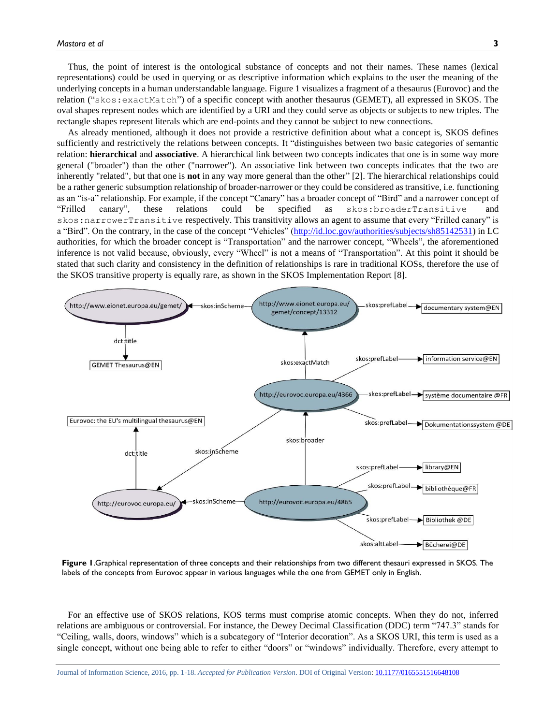Thus, the point of interest is the ontological substance of concepts and not their names. These names (lexical representations) could be used in querying or as descriptive information which explains to the user the meaning of the underlying concepts in a human understandable language. Figure 1 visualizes a fragment of a thesaurus (Eurovoc) and the relation ("skos:exactMatch") of a specific concept with another thesaurus (GEMET), all expressed in SKOS. The oval shapes represent nodes which are identified by a URI and they could serve as objects or subjects to new triples. The rectangle shapes represent literals which are end-points and they cannot be subject to new connections.

As already mentioned, although it does not provide a restrictive definition about what a concept is, SKOS defines sufficiently and restrictively the relations between concepts. It "distinguishes between two basic categories of semantic relation: **hierarchical** and **associative**. A hierarchical link between two concepts indicates that one is in some way more general ("broader") than the other ("narrower"). An associative link between two concepts indicates that the two are inherently "related", but that one is **not** in any way more general than the other" [2]. The hierarchical relationships could be a rather generic subsumption relationship of broader-narrower or they could be considered as transitive, i.e. functioning as an "is-a" relationship. For example, if the concept "Canary" has a broader concept of "Bird" and a narrower concept of "Frilled canary", these relations could be specified as skos:broaderTransitive skos:narrowerTransitive respectively. This transitivity allows an agent to assume that every "Frilled canary" is a "Bird". On the contrary, in the case of the concept "Vehicles" [\(http://id.loc.gov/authorities/subjects/sh85142531\)](http://id.loc.gov/authorities/subjects/sh85142531) in LC authorities, for which the broader concept is "Transportation" and the narrower concept, "Wheels", the aforementioned inference is not valid because, obviously, every "Wheel" is not a means of "Transportation". At this point it should be stated that such clarity and consistency in the definition of relationships is rare in traditional KOSs, therefore the use of the SKOS transitive property is equally rare, as shown in the SKOS Implementation Report [8].



**Figure 1**.Graphical representation of three concepts and their relationships from two different thesauri expressed in SKOS. The labels of the concepts from Eurovoc appear in various languages while the one from GEMET only in English.

For an effective use of SKOS relations, KOS terms must comprise atomic concepts. When they do not, inferred relations are ambiguous or controversial. For instance, the Dewey Decimal Classification (DDC) term "747.3" stands for "Ceiling, walls, doors, windows" which is a subcategory of "Interior decoration". As a SKOS URI, this term is used as a single concept, without one being able to refer to either "doors" or "windows" individually. Therefore, every attempt to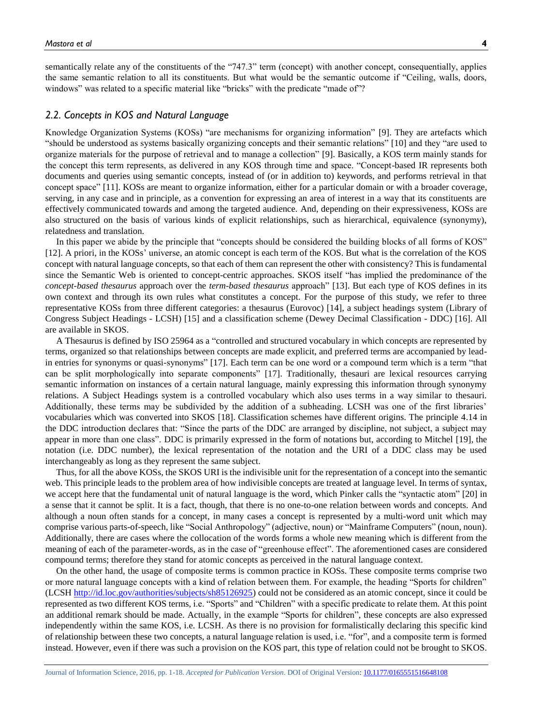semantically relate any of the constituents of the "747.3" term (concept) with another concept, consequentially, applies the same semantic relation to all its constituents. But what would be the semantic outcome if "Ceiling, walls, doors, windows" was related to a specific material like "bricks" with the predicate "made of"?

#### *2.2. Concepts in KOS and Natural Language*

Knowledge Organization Systems (KOSs) "are mechanisms for organizing information" [9]. They are artefacts which "should be understood as systems basically organizing concepts and their semantic relations" [10] and they "are used to organize materials for the purpose of retrieval and to manage a collection" [9]. Basically, a KOS term mainly stands for the concept this term represents, as delivered in any KOS through time and space. "Concept-based IR represents both documents and queries using semantic concepts, instead of (or in addition to) keywords, and performs retrieval in that concept space" [11]. KOSs are meant to organize information, either for a particular domain or with a broader coverage, serving, in any case and in principle, as a convention for expressing an area of interest in a way that its constituents are effectively communicated towards and among the targeted audience. And, depending on their expressiveness, KOSs are also structured on the basis of various kinds of explicit relationships, such as hierarchical, equivalence (synonymy), relatedness and translation.

In this paper we abide by the principle that "concepts should be considered the building blocks of all forms of KOS" [12]. A priori, in the KOSs' universe, an atomic concept is each term of the KOS. But what is the correlation of the KOS concept with natural language concepts, so that each of them can represent the other with consistency? This is fundamental since the Semantic Web is oriented to concept-centric approaches. SKOS itself "has implied the predominance of the *concept-based thesaurus* approach over the *term-based thesaurus* approach" [13]. But each type of KOS defines in its own context and through its own rules what constitutes a concept. For the purpose of this study, we refer to three representative KOSs from three different categories: a thesaurus (Eurovoc) [14], a subject headings system (Library of Congress Subject Headings - LCSH) [15] and a classification scheme (Dewey Decimal Classification - DDC) [16]. All are available in SKOS.

A Thesaurus is defined by ISO 25964 as a "controlled and structured vocabulary in which concepts are represented by terms, organized so that relationships between concepts are made explicit, and preferred terms are accompanied by leadin entries for synonyms or quasi-synonyms" [17]. Each term can be one word or a compound term which is a term "that can be split morphologically into separate components" [17]. Traditionally, thesauri are lexical resources carrying semantic information on instances of a certain natural language, mainly expressing this information through synonymy relations. A Subject Headings system is a controlled vocabulary which also uses terms in a way similar to thesauri. Additionally, these terms may be subdivided by the addition of a subheading. LCSH was one of the first libraries' vocabularies which was converted into SKOS [18]. Classification schemes have different origins. The principle 4.14 in the DDC introduction declares that: "Since the parts of the DDC are arranged by discipline, not subject, a subject may appear in more than one class". DDC is primarily expressed in the form of notations but, according to Mitchel [19], the notation (i.e. DDC number), the lexical representation of the notation and the URI of a DDC class may be used interchangeably as long as they represent the same subject.

Thus, for all the above KOSs, the SKOS URI is the indivisible unit for the representation of a concept into the semantic web. This principle leads to the problem area of how indivisible concepts are treated at language level. In terms of syntax, we accept here that the fundamental unit of natural language is the word, which Pinker calls the "syntactic atom" [20] in a sense that it cannot be split. It is a fact, though, that there is no one-to-one relation between words and concepts. And although a noun often stands for a concept, in many cases a concept is represented by a multi-word unit which may comprise various parts-of-speech, like "Social Anthropology" (adjective, noun) or "Mainframe Computers" (noun, noun). Additionally, there are cases where the collocation of the words forms a whole new meaning which is different from the meaning of each of the parameter-words, as in the case of "greenhouse effect". The aforementioned cases are considered compound terms; therefore they stand for atomic concepts as perceived in the natural language context.

On the other hand, the usage of composite terms is common practice in KOSs. These composite terms comprise two or more natural language concepts with a kind of relation between them. For example, the heading "Sports for children" (LCSH [http://id.loc.gov/authorities/subjects/sh85126925\)](http://id.loc.gov/authorities/subjects/sh85126925) could not be considered as an atomic concept, since it could be represented as two different KOS terms, i.e. "Sports" and "Children" with a specific predicate to relate them. At this point an additional remark should be made. Actually, in the example "Sports for children", these concepts are also expressed independently within the same KOS, i.e. LCSH. As there is no provision for formalistically declaring this specific kind of relationship between these two concepts, a natural language relation is used, i.e. "for", and a composite term is formed instead. However, even if there was such a provision on the KOS part, this type of relation could not be brought to SKOS.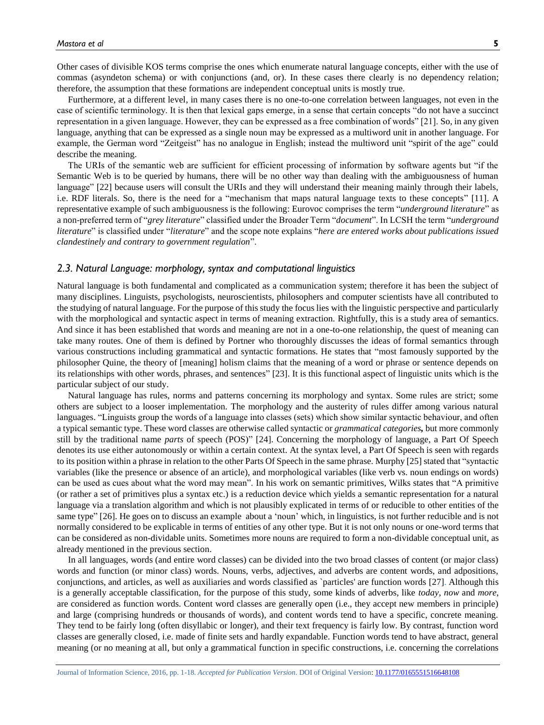Other cases of divisible KOS terms comprise the ones which enumerate natural language concepts, either with the use of commas (asyndeton schema) or with conjunctions (and, or). In these cases there clearly is no dependency relation; therefore, the assumption that these formations are independent conceptual units is mostly true.

Furthermore, at a different level, in many cases there is no one-to-one correlation between languages, not even in the case of scientific terminology. It is then that lexical gaps emerge, in a sense that certain concepts "do not have a succinct representation in a given language. However, they can be expressed as a free combination of words" [21]. So, in any given language, anything that can be expressed as a single noun may be expressed as a multiword unit in another language. For example, the German word "Zeitgeist" has no analogue in English; instead the multiword unit "spirit of the age" could describe the meaning.

The URIs of the semantic web are sufficient for efficient processing of information by software agents but "if the Semantic Web is to be queried by humans, there will be no other way than dealing with the ambiguousness of human language" [22] because users will consult the URIs and they will understand their meaning mainly through their labels, i.e. RDF literals. So, there is the need for a "mechanism that maps natural language texts to these concepts" [11]. A representative example of such ambiguousness is the following: Eurovoc comprises the term "*underground literature*" as a non-preferred term of "*grey literature*" classified under the Broader Term "*document*". In LCSH the term "*underground literature*" is classified under "*literature*" and the scope note explains "*here are entered works about publications issued clandestinely and contrary to government regulation*".

#### *2.3. Natural Language: morphology, syntax and computational linguistics*

Natural language is both fundamental and complicated as a communication system; therefore it has been the subject of many disciplines. Linguists, psychologists, neuroscientists, philosophers and computer scientists have all contributed to the studying of natural language. For the purpose of this study the focus lies with the linguistic perspective and particularly with the morphological and syntactic aspect in terms of meaning extraction. Rightfully, this is a study area of semantics. And since it has been established that words and meaning are not in a one-to-one relationship, the quest of meaning can take many routes. One of them is defined by Portner who thoroughly discusses the ideas of formal semantics through various constructions including grammatical and syntactic formations. He states that "most famously supported by the philosopher Quine, the theory of [meaning] holism claims that the meaning of a word or phrase or sentence depends on its relationships with other words, phrases, and sentences" [23]. It is this functional aspect of linguistic units which is the particular subject of our study.

Natural language has rules, norms and patterns concerning its morphology and syntax. Some rules are strict; some others are subject to a looser implementation. The morphology and the austerity of rules differ among various natural languages. "Linguists group the words of a language into classes (sets) which show similar syntactic behaviour, and often a typical semantic type. These word classes are otherwise called syntactic or *grammatical categories,* but more commonly still by the traditional name *parts* of speech (POS)" [24]. Concerning the morphology of language, a Part Of Speech denotes its use either autonomously or within a certain context. At the syntax level, a Part Of Speech is seen with regards to its position within a phrase in relation to the other Parts Of Speech in the same phrase. Murphy [25] stated that "syntactic variables (like the presence or absence of an article), and morphological variables (like verb vs. noun endings on words) can be used as cues about what the word may mean". In his work on semantic primitives, Wilks states that "A primitive (or rather a set of primitives plus a syntax etc.) is a reduction device which yields a semantic representation for a natural language via a translation algorithm and which is not plausibly explicated in terms of or reducible to other entities of the same type" [26]. He goes on to discuss an example about a 'noun' which, in linguistics, is not further reducible and is not normally considered to be explicable in terms of entities of any other type. But it is not only nouns or one-word terms that can be considered as non-dividable units. Sometimes more nouns are required to form a non-dividable conceptual unit, as already mentioned in the previous section.

In all languages, words (and entire word classes) can be divided into the two broad classes of content (or major class) words and function (or minor class) words. Nouns, verbs, adjectives, and adverbs are content words, and adpositions, conjunctions, and articles, as well as auxiliaries and words classified as `particles' are function words [27]. Although this is a generally acceptable classification, for the purpose of this study, some kinds of adverbs, like *today*, *now* and *more*, are considered as function words. Content word classes are generally open (i.e., they accept new members in principle) and large (comprising hundreds or thousands of words), and content words tend to have a specific, concrete meaning. They tend to be fairly long (often disyllabic or longer), and their text frequency is fairly low. By contrast, function word classes are generally closed, i.e. made of finite sets and hardly expandable. Function words tend to have abstract, general meaning (or no meaning at all, but only a grammatical function in specific constructions, i.e. concerning the correlations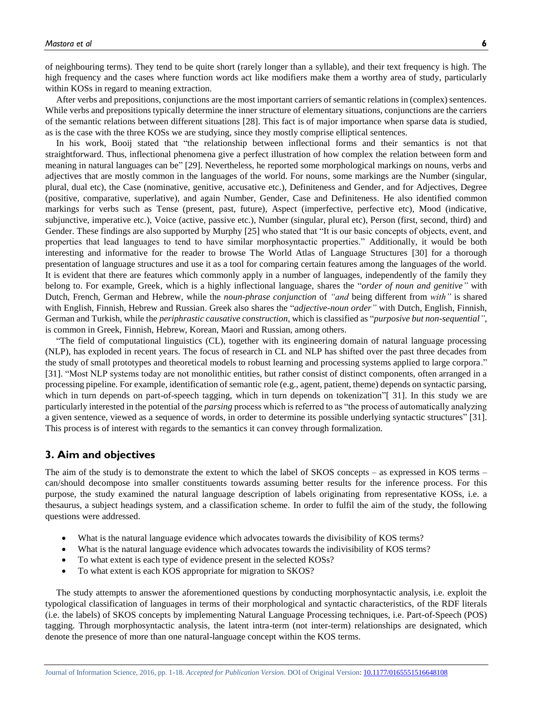After verbs and prepositions, conjunctions are the most important carriers of semantic relations in (complex) sentences. While verbs and prepositions typically determine the inner structure of elementary situations, conjunctions are the carriers of the semantic relations between different situations [28]. This fact is of major importance when sparse data is studied, as is the case with the three KOSs we are studying, since they mostly comprise elliptical sentences.

In his work, Booij stated that "the relationship between inflectional forms and their semantics is not that straightforward. Thus, inflectional phenomena give a perfect illustration of how complex the relation between form and meaning in natural languages can be" [29]. Nevertheless, he reported some morphological markings on nouns, verbs and adjectives that are mostly common in the languages of the world. For nouns, some markings are the Number (singular, plural, dual etc), the Case (nominative, genitive, accusative etc.), Definiteness and Gender, and for Adjectives, Degree (positive, comparative, superlative), and again Number, Gender, Case and Definiteness. He also identified common markings for verbs such as Tense (present, past, future), Aspect (imperfective, perfective etc), Mood (indicative, subjunctive, imperative etc.), Voice (active, passive etc.), Number (singular, plural etc), Person (first, second, third) and Gender. These findings are also supported by Murphy [25] who stated that "It is our basic concepts of objects, event, and properties that lead languages to tend to have similar morphosyntactic properties." Additionally, it would be both interesting and informative for the reader to browse The World Atlas of Language Structures [30] for a thorough presentation of language structures and use it as a tool for comparing certain features among the languages of the world. It is evident that there are features which commonly apply in a number of languages, independently of the family they belong to. For example, Greek, which is a highly inflectional language, shares the "*order of noun and genitive"* with Dutch, French, German and Hebrew, while the *noun-phrase conjunction* of *"and* being different from *with"* is shared with English, Finnish, Hebrew and Russian. Greek also shares the "*adjective-noun order"* with Dutch, English, Finnish, German and Turkish, while the *periphrastic causative construction*, which is classified as "*purposive but non-sequential",* is common in Greek, Finnish, Hebrew, Korean, Maori and Russian, among others.

"The field of computational linguistics (CL), together with its engineering domain of natural language processing (NLP), has exploded in recent years. The focus of research in CL and NLP has shifted over the past three decades from the study of small prototypes and theoretical models to robust learning and processing systems applied to large corpora." [31]. "Most NLP systems today are not monolithic entities, but rather consist of distinct components, often arranged in a processing pipeline. For example, identification of semantic role (e.g., agent, patient, theme) depends on syntactic parsing, which in turn depends on part-of-speech tagging, which in turn depends on tokenization" [31]. In this study we are particularly interested in the potential of the *parsing* process which is referred to as "the process of automatically analyzing a given sentence, viewed as a sequence of words, in order to determine its possible underlying syntactic structures" [31]. This process is of interest with regards to the semantics it can convey through formalization.

## **3. Aim and objectives**

The aim of the study is to demonstrate the extent to which the label of SKOS concepts – as expressed in KOS terms – can/should decompose into smaller constituents towards assuming better results for the inference process. For this purpose, the study examined the natural language description of labels originating from representative KOSs, i.e. a thesaurus, a subject headings system, and a classification scheme. In order to fulfil the aim of the study, the following questions were addressed.

- What is the natural language evidence which advocates towards the divisibility of KOS terms?
- What is the natural language evidence which advocates towards the indivisibility of KOS terms?
- To what extent is each type of evidence present in the selected KOSs?
- To what extent is each KOS appropriate for migration to SKOS?

The study attempts to answer the aforementioned questions by conducting morphosyntactic analysis, i.e. exploit the typological classification of languages in terms of their morphological and syntactic characteristics, of the RDF literals (i.e. the labels) of SKOS concepts by implementing Natural Language Processing techniques, i.e. Part-of-Speech (POS) tagging. Through morphosyntactic analysis, the latent intra-term (not inter-term) relationships are designated, which denote the presence of more than one natural-language concept within the KOS terms.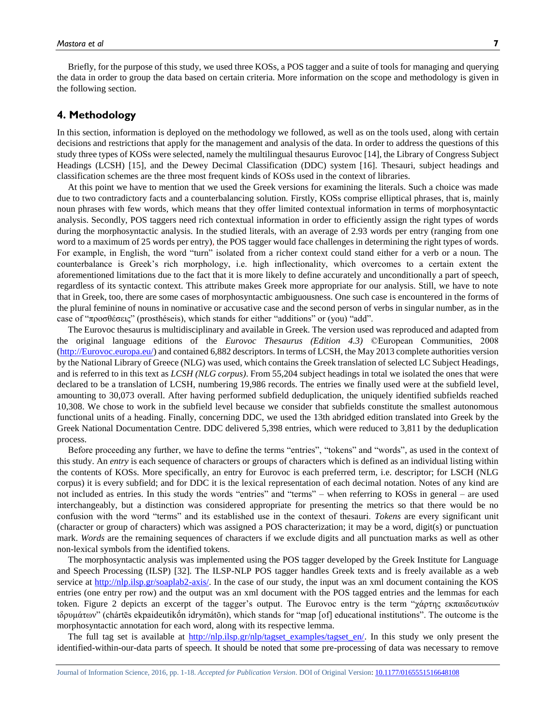Briefly, for the purpose of this study, we used three KOSs, a POS tagger and a suite of tools for managing and querying the data in order to group the data based on certain criteria. More information on the scope and methodology is given in the following section.

## **4. Methodology**

In this section, information is deployed on the methodology we followed, as well as on the tools used, along with certain decisions and restrictions that apply for the management and analysis of the data. In order to address the questions of this study three types of KOSs were selected, namely the multilingual thesaurus Eurovoc [14], the Library of Congress Subject Headings (LCSH) [15], and the Dewey Decimal Classification (DDC) system [16]. Thesauri, subject headings and classification schemes are the three most frequent kinds of KOSs used in the context of libraries.

At this point we have to mention that we used the Greek versions for examining the literals. Such a choice was made due to two contradictory facts and a counterbalancing solution. Firstly, KOSs comprise elliptical phrases, that is, mainly noun phrases with few words, which means that they offer limited contextual information in terms of morphosyntactic analysis. Secondly, POS taggers need rich contextual information in order to efficiently assign the right types of words during the morphosyntactic analysis. In the studied literals, with an average of 2.93 words per entry (ranging from one word to a maximum of 25 words per entry), the POS tagger would face challenges in determining the right types of words. For example, in English, the word "turn" isolated from a richer context could stand either for a verb or a noun. The counterbalance is Greek's rich morphology, i.e. high inflectionality, which overcomes to a certain extent the aforementioned limitations due to the fact that it is more likely to define accurately and unconditionally a part of speech, regardless of its syntactic context. This attribute makes Greek more appropriate for our analysis. Still, we have to note that in Greek, too, there are some cases of morphosyntactic ambiguousness. One such case is encountered in the forms of the plural feminine of nouns in nominative or accusative case and the second person of verbs in singular number, as in the case of "προσθέσεις" (prosthéseis), which stands for either "additions" or (you) "add".

The Eurovoc thesaurus is multidisciplinary and available in Greek. The version used was reproduced and adapted from the original language editions of the *Eurovoc Thesaurus (Edition 4.3)* ©European Communities, 2008 [\(http://Eurovoc.europa.eu/\)](http://eurovoc.europa.eu/) and contained 6,882 descriptors. In terms of LCSH, the May 2013 complete authorities version by the National Library of Greece (NLG) was used, which contains the Greek translation of selected LC Subject Headings, and is referred to in this text as *LCSH (NLG corpus)*. From 55,204 subject headings in total we isolated the ones that were declared to be a translation of LCSH, numbering 19,986 records. The entries we finally used were at the subfield level, amounting to 30,073 overall. After having performed subfield deduplication, the uniquely identified subfields reached 10,308. We chose to work in the subfield level because we consider that subfields constitute the smallest autonomous functional units of a heading. Finally, concerning DDC, we used the 13th abridged edition translated into Greek by the Greek National Documentation Centre. DDC delivered 5,398 entries, which were reduced to 3,811 by the deduplication process.

Before proceeding any further, we have to define the terms "entries", "tokens" and "words", as used in the context of this study. An *entry* is each sequence of characters or groups of characters which is defined as an individual listing within the contents of KOSs. More specifically, an entry for Eurovoc is each preferred term, i.e. descriptor; for LSCH (NLG corpus) it is every subfield; and for DDC it is the lexical representation of each decimal notation. Notes of any kind are not included as entries. In this study the words "entries" and "terms" – when referring to KOSs in general – are used interchangeably, but a distinction was considered appropriate for presenting the metrics so that there would be no confusion with the word "terms" and its established use in the context of thesauri. *Tokens* are every significant unit (character or group of characters) which was assigned a POS characterization; it may be a word, digit(s) or punctuation mark. *Words* are the remaining sequences of characters if we exclude digits and all punctuation marks as well as other non-lexical symbols from the identified tokens.

The morphosyntactic analysis was implemented using the POS tagger developed by the Greek Institute for Language and Speech Processing (ILSP) [32]. The ILSP-NLP POS tagger handles Greek texts and is freely available as a web service at [http://nlp.ilsp.gr/soaplab2-axis/.](http://nlp.ilsp.gr/soaplab2-axis/) In the case of our study, the input was an xml document containing the KOS entries (one entry per row) and the output was an xml document with the POS tagged entries and the lemmas for each token. Figure 2 depicts an excerpt of the tagger's output. The Eurovoc entry is the term "χάρτης εκπαιδευτικών ιδρυμάτων" (chártēs ekpaideutikṓn idrymátōn), which stands for "map [of] educational institutions". The outcome is the morphosyntactic annotation for each word, along with its respective lemma.

The full tag set is available at http://nlp.ilsp.gr/nlp/tagset examples/tagset en/. In this study we only present the identified-within-our-data parts of speech. It should be noted that some pre-processing of data was necessary to remove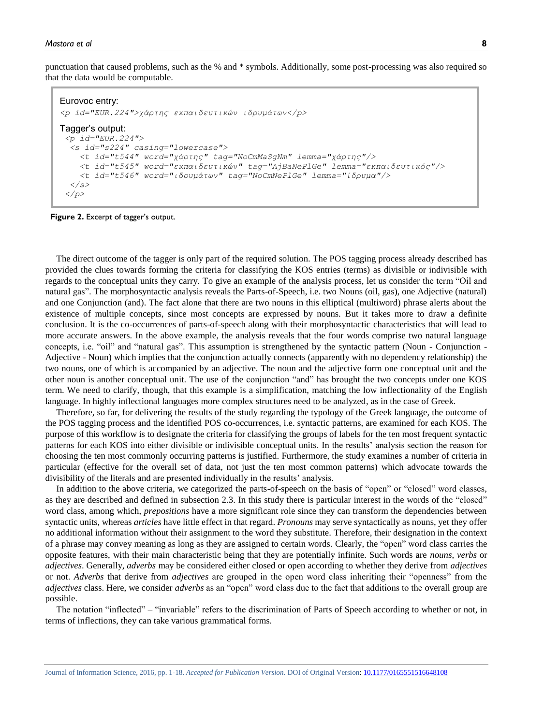punctuation that caused problems, such as the % and \* symbols. Additionally, some post-processing was also required so that the data would be computable.

```
Eurovoc entry: 
<p id="EUR.224">χάρτης εκπαιδευτικών ιδρυμάτων</p>
Tagger's output: 
 <p id="EUR.224"> 
   <s id="s224" casing="lowercase">
     <t id="t544" word="χάρτης" tag="NoCmMaSgNm" lemma="χάρτης"/>
     <t id="t545" word="εκπαιδευτικών" tag="AjBaNePlGe" lemma="εκπαιδευτικός"/>
     <t id="t546" word="ιδρυμάτων" tag="NoCmNePlGe" lemma="ίδρυμα"/>
   </s> 
 </p>
```
**Figure 2.** Excerpt of tagger's output.

The direct outcome of the tagger is only part of the required solution. The POS tagging process already described has provided the clues towards forming the criteria for classifying the KOS entries (terms) as divisible or indivisible with regards to the conceptual units they carry. To give an example of the analysis process, let us consider the term "Oil and natural gas". The morphosyntactic analysis reveals the Parts-of-Speech, i.e. two Nouns (oil, gas), one Adjective (natural) and one Conjunction (and). The fact alone that there are two nouns in this elliptical (multiword) phrase alerts about the existence of multiple concepts, since most concepts are expressed by nouns. But it takes more to draw a definite conclusion. It is the co-occurrences of parts-of-speech along with their morphosyntactic characteristics that will lead to more accurate answers. In the above example, the analysis reveals that the four words comprise two natural language concepts, i.e. "oil" and "natural gas". This assumption is strengthened by the syntactic pattern (Noun - Conjunction - Adjective - Noun) which implies that the conjunction actually connects (apparently with no dependency relationship) the two nouns, one of which is accompanied by an adjective. The noun and the adjective form one conceptual unit and the other noun is another conceptual unit. The use of the conjunction "and" has brought the two concepts under one KOS term. We need to clarify, though, that this example is a simplification, matching the low inflectionality of the English language. In highly inflectional languages more complex structures need to be analyzed, as in the case of Greek.

Therefore, so far, for delivering the results of the study regarding the typology of the Greek language, the outcome of the POS tagging process and the identified POS co-occurrences, i.e. syntactic patterns, are examined for each KOS. The purpose of this workflow is to designate the criteria for classifying the groups of labels for the ten most frequent syntactic patterns for each KOS into either divisible or indivisible conceptual units. In the results' analysis section the reason for choosing the ten most commonly occurring patterns is justified. Furthermore, the study examines a number of criteria in particular (effective for the overall set of data, not just the ten most common patterns) which advocate towards the divisibility of the literals and are presented individually in the results' analysis.

In addition to the above criteria, we categorized the parts-of-speech on the basis of "open" or "closed" word classes, as they are described and defined in subsection 2.3. In this study there is particular interest in the words of the "closed" word class, among which, *prepositions* have a more significant role since they can transform the dependencies between syntactic units, whereas *articles* have little effect in that regard. *Pronouns* may serve syntactically as nouns, yet they offer no additional information without their assignment to the word they substitute. Therefore, their designation in the context of a phrase may convey meaning as long as they are assigned to certain words. Clearly, the "open" word class carries the opposite features, with their main characteristic being that they are potentially infinite. Such words are *nouns*, *verbs* or *adjectives*. Generally, *adverbs* may be considered either closed or open according to whether they derive from *adjectives* or not. *Adverbs* that derive from *adjectives* are grouped in the open word class inheriting their "openness" from the *adjectives* class. Here, we consider *adverbs* as an "open" word class due to the fact that additions to the overall group are possible.

The notation "inflected" – "invariable" refers to the discrimination of Parts of Speech according to whether or not, in terms of inflections, they can take various grammatical forms.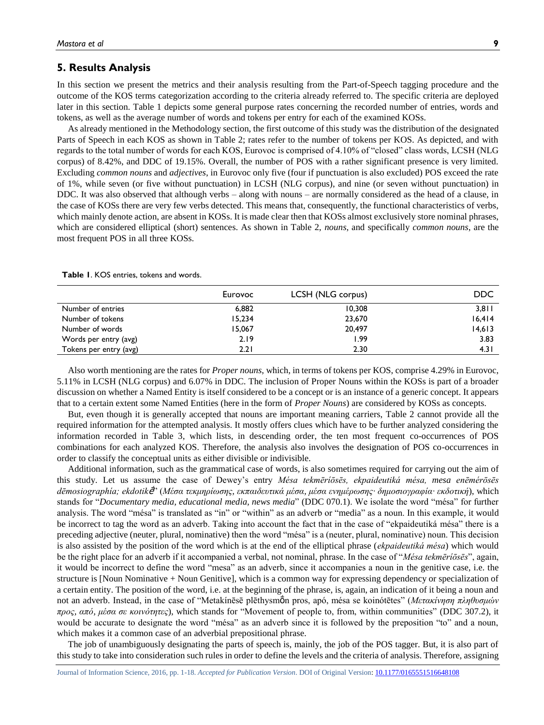## **5. Results Analysis**

In this section we present the metrics and their analysis resulting from the Part-of-Speech tagging procedure and the outcome of the KOS terms categorization according to the criteria already referred to. The specific criteria are deployed later in this section. Table 1 depicts some general purpose rates concerning the recorded number of entries, words and tokens, as well as the average number of words and tokens per entry for each of the examined KOSs.

As already mentioned in the Methodology section, the first outcome of this study was the distribution of the designated Parts of Speech in each KOS as shown in Table 2; rates refer to the number of tokens per KOS. As depicted, and with regards to the total number of words for each KOS, Eurovoc is comprised of 4.10% of "closed" class words, LCSH (NLG corpus) of 8.42%, and DDC of 19.15%. Overall, the number of POS with a rather significant presence is very limited. Excluding *common nouns* and *adjectives*, in Eurovoc only five (four if punctuation is also excluded) POS exceed the rate of 1%, while seven (or five without punctuation) in LCSH (NLG corpus), and nine (or seven without punctuation) in DDC. It was also observed that although verbs – along with nouns – are normally considered as the head of a clause, in the case of KOSs there are very few verbs detected. This means that, consequently, the functional characteristics of verbs, which mainly denote action, are absent in KOSs. It is made clear then that KOSs almost exclusively store nominal phrases, which are considered elliptical (short) sentences. As shown in Table 2, *nouns*, and specifically *common nouns*, are the most frequent POS in all three KOSs.

|                        | Eurovoc | LCSH (NLG corpus) | <b>DDC</b> |
|------------------------|---------|-------------------|------------|
| Number of entries      | 6,882   | 10,308            | 3,811      |
| Number of tokens       | 15,234  | 23,670            | 16.414     |
| Number of words        | 15,067  | 20,497            | 14,613     |
| Words per entry (avg)  | 2.19    | 1.99              | 3.83       |
| Tokens per entry (avg) | 2.21    | 2.30              | 4.31       |

**Table 1**. KOS entries, tokens and words.

Also worth mentioning are the rates for *Proper nouns*, which, in terms of tokens per KOS, comprise 4.29% in Eurovoc, 5.11% in LCSH (NLG corpus) and 6.07% in DDC. The inclusion of Proper Nouns within the KOSs is part of a broader discussion on whether a Named Entity is itself considered to be a concept or is an instance of a generic concept. It appears that to a certain extent some Named Entities (here in the form of *Proper Nouns*) are considered by KOSs as concepts.

But, even though it is generally accepted that nouns are important meaning carriers, Table 2 cannot provide all the required information for the attempted analysis. It mostly offers clues which have to be further analyzed considering the information recorded in Table 3, which lists, in descending order, the ten most frequent co-occurrences of POS combinations for each analyzed KOS. Therefore, the analysis also involves the designation of POS co-occurrences in order to classify the conceptual units as either divisible or indivisible.

Additional information, such as the grammatical case of words, is also sometimes required for carrying out the aim of this study. Let us assume the case of Dewey's entry *Mésa tekmēríōsēs, ekpaideutiká mésa, mesa enēmérōsēs dēmosiographía; ekdotik*ḗ" (*Μέσα τεκμηρίωσης, εκπαιδευτικά μέσα, μέσα ενημέρωσης· δημοσιογραφία· εκδοτική*), which stands for "*Documentary media, educational media, news media*" (DDC 070.1). We isolate the word "mésa" for further analysis. The word "mésa" is translated as "in" or "within" as an adverb or "media" as a noun. In this example, it would be incorrect to tag the word as an adverb. Taking into account the fact that in the case of "ekpaideutiká mésa" there is a preceding adjective (neuter, plural, nominative) then the word "mésa" is a (neuter, plural, nominative) noun. This decision is also assisted by the position of the word which is at the end of the elliptical phrase (*ekpaideutiká mésa*) which would be the right place for an adverb if it accompanied a verbal, not nominal, phrase. In the case of "*Mésa tekmēríōsēs*", again, it would be incorrect to define the word "mesa" as an adverb, since it accompanies a noun in the genitive case, i.e. the structure is [Noun Nominative + Noun Genitive], which is a common way for expressing dependency or specialization of a certain entity. The position of the word, i.e. at the beginning of the phrase, is, again, an indication of it being a noun and not an adverb. Instead, in the case of "Metakínēsē plēthysmṓn pros, apó, mésa se koinótētes" (*Μετακίνηση πληθυσμών προς, από, μέσα σε κοινότητες*), which stands for "Movement of people to, from, within communities" (DDC 307.2), it would be accurate to designate the word "mésa" as an adverb since it is followed by the preposition "to" and a noun, which makes it a common case of an adverbial prepositional phrase.

The job of unambiguously designating the parts of speech is, mainly, the job of the POS tagger. But, it is also part of this study to take into consideration such rules in order to define the levels and the criteria of analysis. Therefore, assigning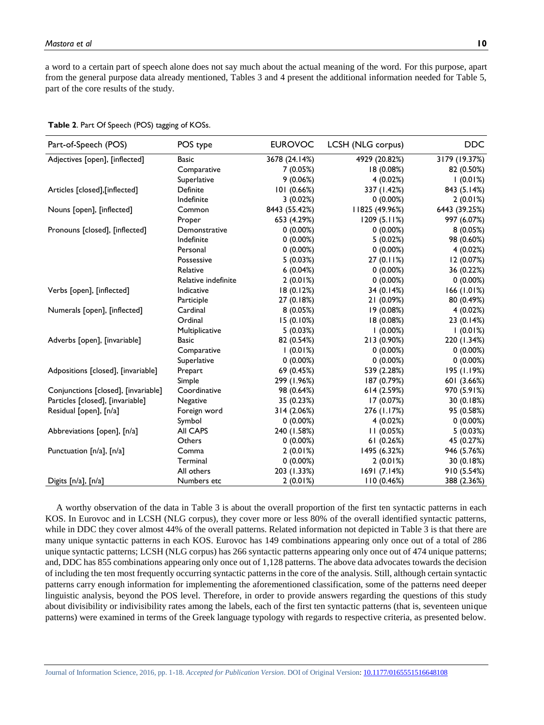a word to a certain part of speech alone does not say much about the actual meaning of the word. For this purpose, apart from the general purpose data already mentioned, Tables 3 and 4 present the additional information needed for Table 5, part of the core results of the study.

| Part-of-Speech (POS)                | POS type            | <b>EUROVOC</b> | LCSH (NLG corpus) | <b>DDC</b>    |
|-------------------------------------|---------------------|----------------|-------------------|---------------|
| Adjectives [open], [inflected]      | <b>Basic</b>        | 3678 (24.14%)  | 4929 (20.82%)     | 3179 (19.37%) |
|                                     | Comparative         | 7 (0.05%)      | 18 (0.08%)        | 82 (0.50%)    |
|                                     | Superlative         | 9(0.06%)       | 4(0.02%)          | $(0.01\%)$    |
| Articles [closed], [inflected]      | Definite            | 101(0.66%)     | 337 (1.42%)       | 843 (5.14%)   |
|                                     | Indefinite          | 3(0.02%)       | $0(0.00\%)$       | $2(0.01\%)$   |
| Nouns [open], [inflected]           | Common              | 8443 (55.42%)  | 11825 (49.96%)    | 6443 (39.25%) |
|                                     | Proper              | 653 (4.29%)    | 1209 (5.11%)      | 997 (6.07%)   |
| Pronouns [closed], [inflected]      | Demonstrative       | $0(0.00\%)$    | $0(0.00\%)$       | 8(0.05%)      |
|                                     | Indefinite          | $0(0.00\%)$    | 5(0.02%)          | 98 (0.60%)    |
|                                     | Personal            | $0(0.00\%)$    | $0(0.00\%)$       | 4(0.02%)      |
|                                     | Possessive          | 5(0.03%)       | 27(0.11%)         | 12 (0.07%)    |
|                                     | Relative            | 6(0.04%)       | $0(0.00\%)$       | 36 (0.22%)    |
|                                     | Relative indefinite | $2(0.01\%)$    | $0(0.00\%)$       | $0(0.00\%)$   |
| Verbs [open], [inflected]           | Indicative          | 18 (0.12%)     | 34 (0.14%)        | 166 (1.01%)   |
|                                     | Participle          | 27 (0.18%)     | 21 (0.09%)        | 80 (0.49%)    |
| Numerals [open], [inflected]        | Cardinal            | 8(0.05%)       | 19(0.08%)         | 4(0.02%)      |
|                                     | Ordinal             | 15(0.10%)      | 18 (0.08%)        | 23 (0.14%)    |
|                                     | Multiplicative      | 5(0.03%)       | $(0.00\%)$        | $(0.01\%)$    |
| Adverbs [open], [invariable]        | <b>Basic</b>        | 82 (0.54%)     | 213 (0.90%)       | 220 (1.34%)   |
|                                     | Comparative         | $(0.01\%)$     | $0(0.00\%)$       | $0(0.00\%)$   |
|                                     | Superlative         | $0(0.00\%)$    | $0(0.00\%)$       | $0(0.00\%)$   |
| Adpositions [closed], [invariable]  | Prepart             | 69 (0.45%)     | 539 (2.28%)       | 195 (1.19%)   |
|                                     | Simple              | 299 (1.96%)    | 187 (0.79%)       | 601 (3.66%)   |
| Conjunctions [closed], [invariable] | Coordinative        | 98 (0.64%)     | 614(2.59%)        | 970 (5.91%)   |
| Particles [closed], [invariable]    | Negative            | 35 (0.23%)     | 17 (0.07%)        | 30 (0.18%)    |
| Residual [open], [n/a]              | Foreign word        | 314(2.06%)     | 276 (1.17%)       | 95 (0.58%)    |
|                                     | Symbol              | $0(0.00\%)$    | 4(0.02%)          | $0(0.00\%)$   |
| Abbreviations [open], [n/a]         | <b>AII CAPS</b>     | 240 (1.58%)    | 11(0.05%)         | 5(0.03%)      |
|                                     | Others              | $0(0.00\%)$    | 61(0.26%)         | 45 (0.27%)    |
| Punctuation [n/a], [n/a]            | Comma               | $2(0.01\%)$    | 1495 (6.32%)      | 946 (5.76%)   |
|                                     | Terminal            | $0(0.00\%)$    | 2(0.01%)          | 30 (0.18%)    |
|                                     | All others          | 203 (1.33%)    | 1691(7.14%)       | 910 (5.54%)   |
| Digits [n/a], [n/a]                 | Numbers etc         | 2(0.01%)       | 110(0.46%)        | 388 (2.36%)   |

**Table 2**. Part Of Speech (POS) tagging of KOSs.

A worthy observation of the data in Table 3 is about the overall proportion of the first ten syntactic patterns in each KOS. In Eurovoc and in LCSH (NLG corpus), they cover more or less 80% of the overall identified syntactic patterns, while in DDC they cover almost 44% of the overall patterns. Related information not depicted in Table 3 is that there are many unique syntactic patterns in each KOS. Eurovoc has 149 combinations appearing only once out of a total of 286 unique syntactic patterns; LCSH (NLG corpus) has 266 syntactic patterns appearing only once out of 474 unique patterns; and, DDC has 855 combinations appearing only once out of 1,128 patterns. The above data advocates towards the decision of including the ten most frequently occurring syntactic patterns in the core of the analysis. Still, although certain syntactic patterns carry enough information for implementing the aforementioned classification, some of the patterns need deeper linguistic analysis, beyond the POS level. Therefore, in order to provide answers regarding the questions of this study about divisibility or indivisibility rates among the labels, each of the first ten syntactic patterns (that is, seventeen unique patterns) were examined in terms of the Greek language typology with regards to respective criteria, as presented below.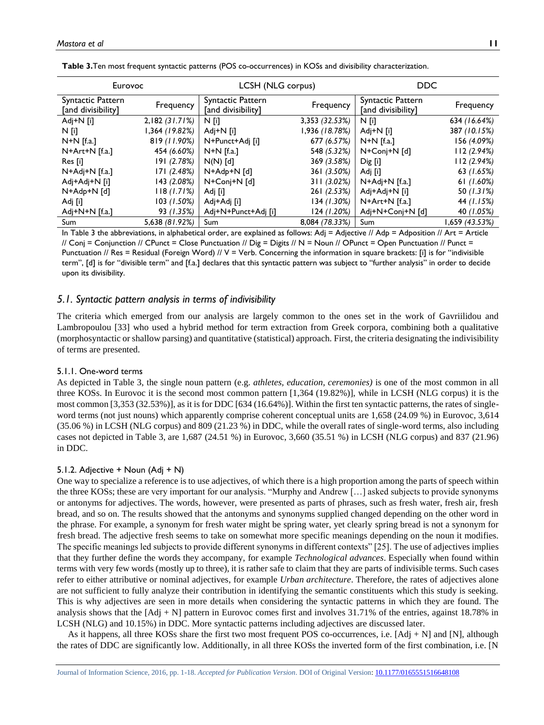| <b>Eurovoc</b>                          |                  | LCSH (NLG corpus)                       |                | <b>DDC</b>                              |               |
|-----------------------------------------|------------------|-----------------------------------------|----------------|-----------------------------------------|---------------|
| Syntactic Pattern<br>[and divisibility] | Frequency        | Syntactic Pattern<br>[and divisibility] | Frequency      | Syntactic Pattern<br>[and divisibility] | Frequency     |
| Adj+N [i]                               | $2,182$ (31.71%) | $N$ [i]                                 | 3,353 (32.53%) | N [i]                                   | 634 (16.64%)  |
| $N$ [i]                                 | I,364 (19.82%)   | Adj+N [i]                               | 1,936 (18.78%) | [i] Adj+N                               | 387 (10.15%)  |
| $N+N$ [f.a.]                            | 819 (11.90%)     | N+Punct+Adj [i]                         | 677 (6.57%)    | $N+N$ [f.a.]                            | 156 (4.09%)   |
| N+Art+N [f.a.]                          | 454 (6.60%)      | $N+N$ [f.a.]                            | 548 (5.32%)    | N+Conj+N [d]                            | 112(2.94%)    |
| Res [i]                                 | 191 (2.78%)      | $N(N)$ [d]                              | 369 (3.58%)    | Dig [i]                                 | 112(2.94%)    |
| $N+Adj+N$ [f.a.]                        | 171 (2.48%)      | N+Adp+N [d]                             | 361 (3.50%)    | Adj [i]                                 | 63 (1.65%)    |
| [i] Adj+Adj+N                           | 143 (2.08%)      | N+Conj+N [d]                            | 311(3.02%)     | $N+Adj+N$ [f.a.]                        | 61 $(1.60%)$  |
| N+Adp+N [d]                             | 118 (1.71%)      | Adj [i]                                 | 261 (2.53%)    | Adj+Adj+N [i]                           | 50 $(1.31\%)$ |
| Adj [i]                                 | 103 (1.50%)      | Adj+Adj [i]                             | 134 (1.30%)    | N+Art+N [f.a.]                          | 44 (1.15%)    |
| Adj+N+N [f.a.]                          | 93 (1.35%)       | Adj+N+Punct+Adj [i]                     | 124 (1.20%)    | Adj+N+Conj+N [d]                        | 40 (1.05%)    |
| <b>Sum</b>                              | 5,638 (81.92%)   | <b>Sum</b>                              | 8,084 (78.33%) | Sum                                     | (43.53%) 659. |

**Table 3.**Ten most frequent syntactic patterns (POS co-occurrences) in KOSs and divisibility characterization.

In Table 3 the abbreviations, in alphabetical order, are explained as follows: Adj = Adjective // Adp = Adposition // Art = Article  $\frac{1}{2}$  Conj = Conjunction  $\frac{1}{2}$  CPunct = Close Punctuation  $\frac{1}{2}$  Dig = Digits  $\frac{1}{2}$  N = Noun  $\frac{1}{2}$  OPunct = Open Punctuation  $\frac{1}{2}$  Punct = Punctuation // Res = Residual (Foreign Word) //  $V =$  Verb. Concerning the information in square brackets: [i] is for "indivisible term", [d] is for "divisible term" and [f.a.] declares that this syntactic pattern was subject to "further analysis" in order to decide upon its divisibility.

## *5.1. Syntactic pattern analysis in terms of indivisibility*

The criteria which emerged from our analysis are largely common to the ones set in the work of Gavriilidou and Lambropoulou [33] who used a hybrid method for term extraction from Greek corpora, combining both a qualitative (morphosyntactic or shallow parsing) and quantitative (statistical) approach. First, the criteria designating the indivisibility of terms are presented.

### 5.1.1. One-word terms

As depicted in Table 3, the single noun pattern (e.g. *athletes, education, ceremonies)* is one of the most common in all three KOSs. In Eurovoc it is the second most common pattern [1,364 (19.82%)], while in LCSH (NLG corpus) it is the most common [3,353 (32.53%)], as it is for DDC [634 (16.64%)]. Within the first ten syntactic patterns, the rates of singleword terms (not just nouns) which apparently comprise coherent conceptual units are 1,658 (24.09 %) in Eurovoc, 3,614 (35.06 %) in LCSH (NLG corpus) and 809 (21.23 %) in DDC, while the overall rates of single-word terms, also including cases not depicted in Table 3, are 1,687 (24.51 %) in Eurovoc, 3,660 (35.51 %) in LCSH (NLG corpus) and 837 (21.96) in DDC.

### 5.1.2. Adjective + Noun (Adj + N)

One way to specialize a reference is to use adjectives, of which there is a high proportion among the parts of speech within the three KOSs; these are very important for our analysis. "Murphy and Andrew […] asked subjects to provide synonyms or antonyms for adjectives. The words, however, were presented as parts of phrases, such as fresh water, fresh air, fresh bread, and so on. The results showed that the antonyms and synonyms supplied changed depending on the other word in the phrase. For example, a synonym for fresh water might be spring water, yet clearly spring bread is not a synonym for fresh bread. The adjective fresh seems to take on somewhat more specific meanings depending on the noun it modifies. The specific meanings led subjects to provide different synonyms in different contexts" [25]. The use of adjectives implies that they further define the words they accompany, for example *Technological advances*. Especially when found within terms with very few words (mostly up to three), it is rather safe to claim that they are parts of indivisible terms. Such cases refer to either attributive or nominal adjectives, for example *Urban architecture*. Therefore, the rates of adjectives alone are not sufficient to fully analyze their contribution in identifying the semantic constituents which this study is seeking. This is why adjectives are seen in more details when considering the syntactic patterns in which they are found. The analysis shows that the  $[Adj + N]$  pattern in Eurovoc comes first and involves 31.71% of the entries, against 18.78% in LCSH (NLG) and 10.15%) in DDC. More syntactic patterns including adjectives are discussed later.

As it happens, all three KOSs share the first two most frequent POS co-occurrences, i.e.  $[Adj + N]$  and  $[N]$ , although the rates of DDC are significantly low. Additionally, in all three KOSs the inverted form of the first combination, i.e. [N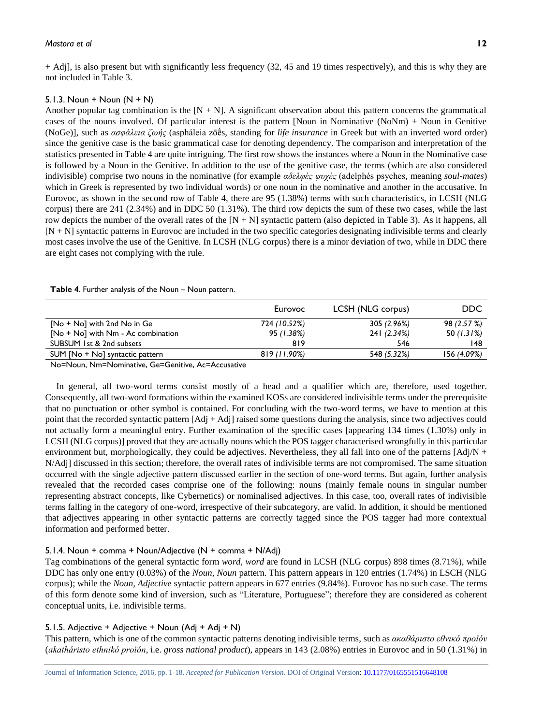+ Adj], is also present but with significantly less frequency (32, 45 and 19 times respectively), and this is why they are not included in Table 3.

## 5.1.3. Noun + Noun  $(N + N)$

Another popular tag combination is the  $[N + N]$ . A significant observation about this pattern concerns the grammatical cases of the nouns involved. Of particular interest is the pattern [Noun in Nominative (NoNm) + Noun in Genitive (NoGe)], such as *ασφάλεια ζωής* (aspháleia zōḗs, standing for *life insurance* in Greek but with an inverted word order) since the genitive case is the basic grammatical case for denoting dependency. The comparison and interpretation of the statistics presented in Table 4 are quite intriguing. The first row shows the instances where a Noun in the Nominative case is followed by a Noun in the Genitive. In addition to the use of the genitive case, the terms (which are also considered indivisible) comprise two nouns in the nominative (for example *αδελφές ψυχές* (adelphés psyches, meaning *soul-mates*) which in Greek is represented by two individual words) or one noun in the nominative and another in the accusative. In Eurovoc, as shown in the second row of Table 4, there are 95 (1.38%) terms with such characteristics, in LCSH (NLG corpus) there are 241 (2.34%) and in DDC 50 (1.31%). The third row depicts the sum of these two cases, while the last row depicts the number of the overall rates of the  $[N + N]$  syntactic pattern (also depicted in Table 3). As it happens, all [N + N] syntactic patterns in Eurovoc are included in the two specific categories designating indivisible terms and clearly most cases involve the use of the Genitive. In LCSH (NLG corpus) there is a minor deviation of two, while in DDC there are eight cases not complying with the rule.

### **Table 4**. Further analysis of the Noun – Noun pattern.

|                                        | Eurovoc      | LCSH (NLG corpus) | <b>DDC</b>         |
|----------------------------------------|--------------|-------------------|--------------------|
| [No + No] with 2nd No in Ge            | 724 (10.52%) | 305 (2.96%)       | 98 (2.57 %)        |
| $[No + No]$ with $Nm - Ac$ combination | 95 (1.38%)   | 241 (2.34%)       | 50 (1.31%)         |
| SUBSUM 1st & 2nd subsets               | 819          | 546               | 148                |
| SUM [No + No] syntactic pattern        | 819(11.90%)  | 548 (5.32%)       | <b>156 (4.09%)</b> |

No=Noun, Nm=Nominative, Ge=Genitive, Ac=Accusative

In general, all two-word terms consist mostly of a head and a qualifier which are, therefore, used together. Consequently, all two-word formations within the examined KOSs are considered indivisible terms under the prerequisite that no punctuation or other symbol is contained. For concluding with the two-word terms, we have to mention at this point that the recorded syntactic pattern [Adj + Adj] raised some questions during the analysis, since two adjectives could not actually form a meaningful entry. Further examination of the specific cases [appearing 134 times (1.30%) only in LCSH (NLG corpus)] proved that they are actually nouns which the POS tagger characterised wrongfully in this particular environment but, morphologically, they could be adjectives. Nevertheless, they all fall into one of the patterns  $[Adj/N +$ N/Adj] discussed in this section; therefore, the overall rates of indivisible terms are not compromised. The same situation occurred with the single adjective pattern discussed earlier in the section of one-word terms. But again, further analysis revealed that the recorded cases comprise one of the following: nouns (mainly female nouns in singular number representing abstract concepts, like Cybernetics) or nominalised adjectives. In this case, too, overall rates of indivisible terms falling in the category of one-word, irrespective of their subcategory, are valid. In addition, it should be mentioned that adjectives appearing in other syntactic patterns are correctly tagged since the POS tagger had more contextual information and performed better.

## 5.1.4. Noun + comma + Noun/Adjective (N + comma + N/Adj)

Tag combinations of the general syntactic form *word, word* are found in LCSH (NLG corpus) 898 times (8.71%), while DDC has only one entry (0.03%) of the *Noun, Noun* pattern. This pattern appears in 120 entries (1.74%) in LSCH (NLG corpus); while the *Noun, Adjective* syntactic pattern appears in 677 entries (9.84%). Eurovoc has no such case. The terms of this form denote some kind of inversion, such as "Literature, Portuguese"; therefore they are considered as coherent conceptual units, i.e. indivisible terms.

## 5.1.5. Adjective + Adjective + Noun (Adj + Adj + N)

This pattern, which is one of the common syntactic patterns denoting indivisible terms, such as *ακαθάριστο εθνικό προϊόν* (*akatháristo ethnikó proïón*, i.e. *gross national product*), appears in 143 (2.08%) entries in Eurovoc and in 50 (1.31%) in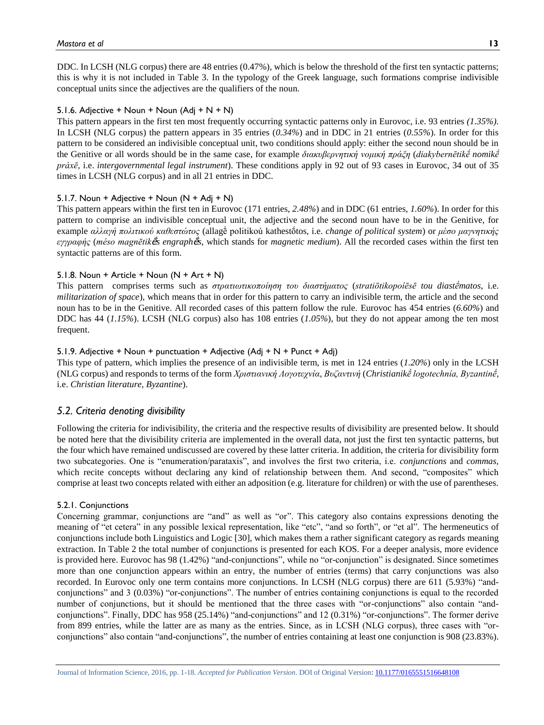DDC. In LCSH (NLG corpus) there are 48 entries (0.47%), which is below the threshold of the first ten syntactic patterns; this is why it is not included in Table 3. In the typology of the Greek language, such formations comprise indivisible conceptual units since the adjectives are the qualifiers of the noun.

## 5.1.6. Adjective + Noun + Noun  $(Adi + N + N)$

This pattern appears in the first ten most frequently occurring syntactic patterns only in Eurovoc, i.e. 93 entries *(1.35%)*. In LCSH (NLG corpus) the pattern appears in 35 entries (*0.34%*) and in DDC in 21 entries (*0.55%*). In order for this pattern to be considered an indivisible conceptual unit, two conditions should apply: either the second noun should be in the Genitive or all words should be in the same case, for example *διακυβερνητική νομική πράξη* (*diakybernētikḗ nomikḗ práxē*, i.e. *intergovernmental legal instrument*). These conditions apply in 92 out of 93 cases in Eurovoc, 34 out of 35 times in LCSH (NLG corpus) and in all 21 entries in DDC.

### 5.1.7. Noun + Adjective + Noun (N + Adj + N)

This pattern appears within the first ten in Eurovoc (171 entries, *2.48%*) and in DDC (61 entries, *1.60%*). In order for this pattern to comprise an indivisible conceptual unit, the adjective and the second noun have to be in the Genitive, for example *αλλαγή πολιτικού καθεστώτος* (allagḗ politikoú kathestṓtos, i.e. *change of political system*) or *μέσο μαγνητικής εγγραφής* (*méso magnētik*ḗ*s engraph*ḗ*s*, which stands for *magnetic medium*). All the recorded cases within the first ten syntactic patterns are of this form.

## 5.1.8. Noun + Article + Noun  $(N + Art + N)$

This pattern comprises terms such as *στρατιωτικοποίηση του διαστήματος* (*stratiōtikopoíēsē tou diastḗmatos*, i.e. *militarization of space*), which means that in order for this pattern to carry an indivisible term, the article and the second noun has to be in the Genitive. All recorded cases of this pattern follow the rule. Eurovoc has 454 entries (*6.60%*) and DDC has 44 (*1.15%*). LCSH (NLG corpus) also has 108 entries (*1.05%*), but they do not appear among the ten most frequent.

## 5.1.9. Adjective + Noun + punctuation + Adjective (Adj + N + Punct + Adj)

This type of pattern, which implies the presence of an indivisible term, is met in 124 entries (*1.20%*) only in the LCSH (NLG corpus) and responds to terms of the form *Χριστιανική Λογοτεχνία, Βυζαντινή* (*Christianikḗ logotechnía, Byzantinḗ,*  i.e. *Christian literature, Byzantine*).

# *5.2. Criteria denoting divisibility*

Following the criteria for indivisibility, the criteria and the respective results of divisibility are presented below. It should be noted here that the divisibility criteria are implemented in the overall data, not just the first ten syntactic patterns, but the four which have remained undiscussed are covered by these latter criteria. In addition, the criteria for divisibility form two subcategories. One is "enumeration/parataxis", and involves the first two criteria, i.e. *conjunctions* and *commas*, which recite concepts without declaring any kind of relationship between them. And second, "composites" which comprise at least two concepts related with either an adposition (e.g. literature for children) or with the use of parentheses.

### 5.2.1. Conjunctions

Concerning grammar, conjunctions are "and" as well as "or". This category also contains expressions denoting the meaning of "et cetera" in any possible lexical representation, like "etc", "and so forth", or "et al". The hermeneutics of conjunctions include both Linguistics and Logic [30], which makes them a rather significant category as regards meaning extraction. In Table 2 the total number of conjunctions is presented for each KOS. For a deeper analysis, more evidence is provided here. Eurovoc has 98 (1.42%) "and-conjunctions", while no "or-conjunction" is designated. Since sometimes more than one conjunction appears within an entry, the number of entries (terms) that carry conjunctions was also recorded. In Eurovoc only one term contains more conjunctions. In LCSH (NLG corpus) there are 611 (5.93%) "andconjunctions" and 3 (0.03%) "or-conjunctions". The number of entries containing conjunctions is equal to the recorded number of conjunctions, but it should be mentioned that the three cases with "or-conjunctions" also contain "andconjunctions". Finally, DDC has 958 (25.14%) "and-conjunctions" and 12 (0.31%) "or-conjunctions". The former derive from 899 entries, while the latter are as many as the entries. Since, as in LCSH (NLG corpus), three cases with "orconjunctions" also contain "and-conjunctions", the number of entries containing at least one conjunction is 908 (23.83%).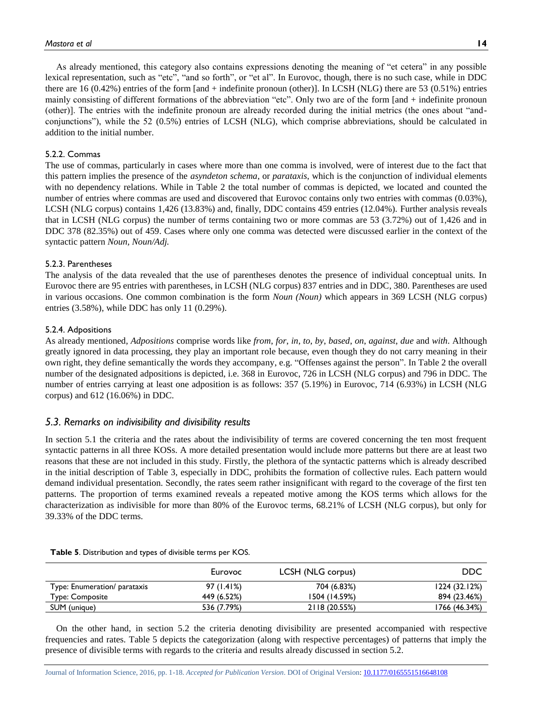As already mentioned, this category also contains expressions denoting the meaning of "et cetera" in any possible lexical representation, such as "etc", "and so forth", or "et al". In Eurovoc, though, there is no such case, while in DDC there are 16 (0.42%) entries of the form  $[and + indefinite$  pronoun (other)]. In LCSH (NLG) there are 53 (0.51%) entries mainly consisting of different formations of the abbreviation "etc". Only two are of the form [and + indefinite pronoun (other)]. The entries with the indefinite pronoun are already recorded during the initial metrics (the ones about "andconjunctions"), while the 52 (0.5%) entries of LCSH (NLG), which comprise abbreviations, should be calculated in addition to the initial number.

## 5.2.2. Commas

The use of commas, particularly in cases where more than one comma is involved, were of interest due to the fact that this pattern implies the presence of the *asyndeton schema*, or *parataxis*, which is the conjunction of individual elements with no dependency relations. While in Table 2 the total number of commas is depicted, we located and counted the number of entries where commas are used and discovered that Eurovoc contains only two entries with commas (0.03%), LCSH (NLG corpus) contains 1,426 (13.83%) and, finally, DDC contains 459 entries (12.04%). Further analysis reveals that in LCSH (NLG corpus) the number of terms containing two or more commas are 53 (3.72%) out of 1,426 and in DDC 378 (82.35%) out of 459. Cases where only one comma was detected were discussed earlier in the context of the syntactic pattern *Noun, Noun/Adj.*

### 5.2.3. Parentheses

The analysis of the data revealed that the use of parentheses denotes the presence of individual conceptual units. In Eurovoc there are 95 entries with parentheses, in LCSH (NLG corpus) 837 entries and in DDC, 380. Parentheses are used in various occasions. One common combination is the form *Noun (Noun)* which appears in 369 LCSH (NLG corpus) entries (3.58%), while DDC has only 11 (0.29%).

### 5.2.4. Adpositions

As already mentioned, *Adpositions* comprise words like *from*, *for*, *in*, *to*, *by*, *based*, *on*, *against*, *due* and *with*. Although greatly ignored in data processing, they play an important role because, even though they do not carry meaning in their own right, they define semantically the words they accompany, e.g. "Offenses against the person". In Table 2 the overall number of the designated adpositions is depicted, i.e. 368 in Eurovoc, 726 in LCSH (NLG corpus) and 796 in DDC. The number of entries carrying at least one adposition is as follows: 357 (5.19%) in Eurovoc, 714 (6.93%) in LCSH (NLG corpus) and 612 (16.06%) in DDC.

## *5.3. Remarks on indivisibility and divisibility results*

In section 5.1 the criteria and the rates about the indivisibility of terms are covered concerning the ten most frequent syntactic patterns in all three KOSs. A more detailed presentation would include more patterns but there are at least two reasons that these are not included in this study. Firstly, the plethora of the syntactic patterns which is already described in the initial description of Table 3, especially in DDC, prohibits the formation of collective rules. Each pattern would demand individual presentation. Secondly, the rates seem rather insignificant with regard to the coverage of the first ten patterns. The proportion of terms examined reveals a repeated motive among the KOS terms which allows for the characterization as indivisible for more than 80% of the Eurovoc terms, 68.21% of LCSH (NLG corpus), but only for 39.33% of the DDC terms.

|                              | Eurovoc     | LCSH (NLG corpus) | <b>DDC</b>    |
|------------------------------|-------------|-------------------|---------------|
| Type: Enumeration/ parataxis | 97 (1.41%)  | 704 (6.83%)       | 1224(32.12%)  |
| Type: Composite              | 449 (6.52%) | 1504 (14.59%)     | 894 (23.46%)  |
| SUM (unique)                 | 536 (7.79%) | 2118 (20.55%)     | I766 (46.34%) |

**Table 5**. Distribution and types of divisible terms per KOS.

On the other hand, in section 5.2 the criteria denoting divisibility are presented accompanied with respective frequencies and rates. Table 5 depicts the categorization (along with respective percentages) of patterns that imply the presence of divisible terms with regards to the criteria and results already discussed in section 5.2.

Journal of Information Science, 2016, pp. 1-18. *Accepted for Publication Version*. DOI of Original Version[: 10.1177/0165551516648108](http://dx.doi.org/10.1177/0165551516648108)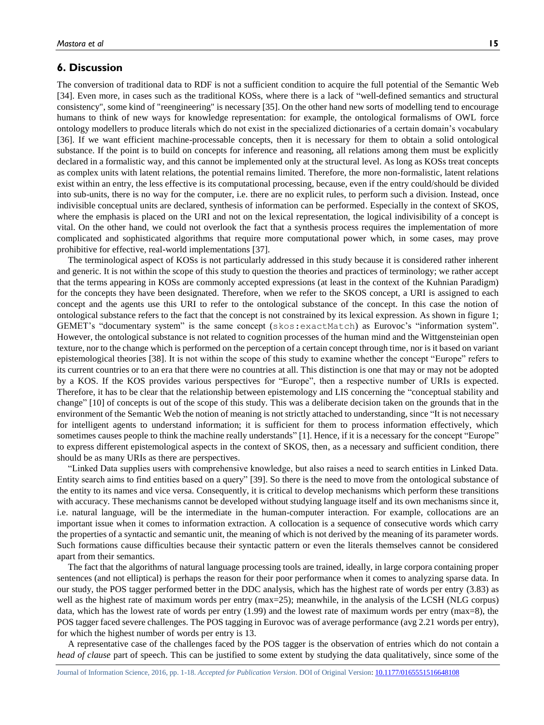## **6. Discussion**

The conversion of traditional data to RDF is not a sufficient condition to acquire the full potential of the Semantic Web [34]. Even more, in cases such as the traditional KOSs, where there is a lack of "well-defined semantics and structural consistency", some kind of "reengineering" is necessary [35]. On the other hand new sorts of modelling tend to encourage humans to think of new ways for knowledge representation: for example, the ontological formalisms of OWL force ontology modellers to produce literals which do not exist in the specialized dictionaries of a certain domain's vocabulary [36]. If we want efficient machine-processable concepts, then it is necessary for them to obtain a solid ontological substance. If the point is to build on concepts for inference and reasoning, all relations among them must be explicitly declared in a formalistic way, and this cannot be implemented only at the structural level. As long as KOSs treat concepts as complex units with latent relations, the potential remains limited. Therefore, the more non-formalistic, latent relations exist within an entry, the less effective is its computational processing, because, even if the entry could/should be divided into sub-units, there is no way for the computer, i.e. there are no explicit rules, to perform such a division. Instead, once indivisible conceptual units are declared, synthesis of information can be performed. Especially in the context of SKOS, where the emphasis is placed on the URI and not on the lexical representation, the logical indivisibility of a concept is vital. On the other hand, we could not overlook the fact that a synthesis process requires the implementation of more complicated and sophisticated algorithms that require more computational power which, in some cases, may prove prohibitive for effective, real-world implementations [37].

The terminological aspect of KOSs is not particularly addressed in this study because it is considered rather inherent and generic. It is not within the scope of this study to question the theories and practices of terminology; we rather accept that the terms appearing in KOSs are commonly accepted expressions (at least in the context of the Kuhnian Paradigm) for the concepts they have been designated. Therefore, when we refer to the SKOS concept, a URI is assigned to each concept and the agents use this URI to refer to the ontological substance of the concept. In this case the notion of ontological substance refers to the fact that the concept is not constrained by its lexical expression. As shown in figure 1; GEMET's "documentary system" is the same concept (skos:exactMatch) as Eurovoc's "information system". However, the ontological substance is not related to cognition processes of the human mind and the Wittgensteinian open texture, nor to the change which is performed on the perception of a certain concept through time, nor is it based on variant epistemological theories [38]. It is not within the scope of this study to examine whether the concept "Europe" refers to its current countries or to an era that there were no countries at all. This distinction is one that may or may not be adopted by a KOS. If the KOS provides various perspectives for "Europe", then a respective number of URIs is expected. Therefore, it has to be clear that the relationship between epistemology and LIS concerning the "conceptual stability and change" [10] of concepts is out of the scope of this study. This was a deliberate decision taken on the grounds that in the environment of the Semantic Web the notion of meaning is not strictly attached to understanding, since "It is not necessary for intelligent agents to understand information; it is sufficient for them to process information effectively, which sometimes causes people to think the machine really understands" [1]. Hence, if it is a necessary for the concept "Europe" to express different epistemological aspects in the context of SKOS, then, as a necessary and sufficient condition, there should be as many URIs as there are perspectives.

"Linked Data supplies users with comprehensive knowledge, but also raises a need to search entities in Linked Data. Entity search aims to find entities based on a query" [39]. So there is the need to move from the ontological substance of the entity to its names and vice versa. Consequently, it is critical to develop mechanisms which perform these transitions with accuracy. These mechanisms cannot be developed without studying language itself and its own mechanisms since it, i.e. natural language, will be the intermediate in the human-computer interaction. For example, collocations are an important issue when it comes to information extraction. A collocation is a sequence of consecutive words which carry the properties of a syntactic and semantic unit, the meaning of which is not derived by the meaning of its parameter words. Such formations cause difficulties because their syntactic pattern or even the literals themselves cannot be considered apart from their semantics.

The fact that the algorithms of natural language processing tools are trained, ideally, in large corpora containing proper sentences (and not elliptical) is perhaps the reason for their poor performance when it comes to analyzing sparse data. In our study, the POS tagger performed better in the DDC analysis, which has the highest rate of words per entry (3.83) as well as the highest rate of maximum words per entry (max=25); meanwhile, in the analysis of the LCSH (NLG corpus) data, which has the lowest rate of words per entry  $(1.99)$  and the lowest rate of maximum words per entry (max=8), the POS tagger faced severe challenges. The POS tagging in Eurovoc was of average performance (avg 2.21 words per entry), for which the highest number of words per entry is 13.

A representative case of the challenges faced by the POS tagger is the observation of entries which do not contain a *head of clause* part of speech. This can be justified to some extent by studying the data qualitatively, since some of the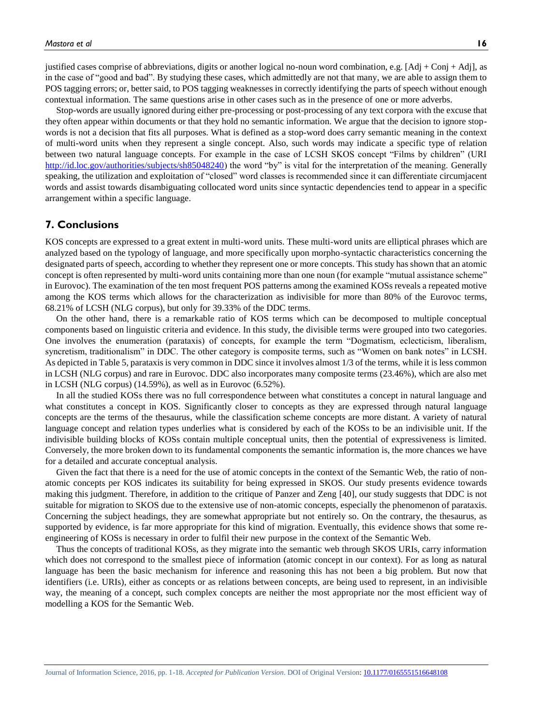justified cases comprise of abbreviations, digits or another logical no-noun word combination, e.g. [Adj + Conj + Adj], as in the case of "good and bad". By studying these cases, which admittedly are not that many, we are able to assign them to POS tagging errors; or, better said, to POS tagging weaknesses in correctly identifying the parts of speech without enough contextual information. The same questions arise in other cases such as in the presence of one or more adverbs.

Stop-words are usually ignored during either pre-processing or post-processing of any text corpora with the excuse that they often appear within documents or that they hold no semantic information. We argue that the decision to ignore stopwords is not a decision that fits all purposes. What is defined as a stop-word does carry semantic meaning in the context of multi-word units when they represent a single concept. Also, such words may indicate a specific type of relation between two natural language concepts. For example in the case of LCSH SKOS concept "Films by children" (URI [http://id.loc.gov/authorities/subjects/sh85048240\)](http://id.loc.gov/authorities/subjects/sh85048240) the word "by" is vital for the interpretation of the meaning. Generally speaking, the utilization and exploitation of "closed" word classes is recommended since it can differentiate circumjacent words and assist towards disambiguating collocated word units since syntactic dependencies tend to appear in a specific arrangement within a specific language.

## **7. Conclusions**

KOS concepts are expressed to a great extent in multi-word units. These multi-word units are elliptical phrases which are analyzed based on the typology of language, and more specifically upon morpho-syntactic characteristics concerning the designated parts of speech, according to whether they represent one or more concepts. This study has shown that an atomic concept is often represented by multi-word units containing more than one noun (for example "mutual assistance scheme" in Eurovoc). The examination of the ten most frequent POS patterns among the examined KOSs reveals a repeated motive among the KOS terms which allows for the characterization as indivisible for more than 80% of the Eurovoc terms, 68.21% of LCSH (NLG corpus), but only for 39.33% of the DDC terms.

On the other hand, there is a remarkable ratio of KOS terms which can be decomposed to multiple conceptual components based on linguistic criteria and evidence. In this study, the divisible terms were grouped into two categories. One involves the enumeration (parataxis) of concepts, for example the term "Dogmatism, eclecticism, liberalism, syncretism, traditionalism" in DDC. The other category is composite terms, such as "Women on bank notes" in LCSH. As depicted in Table 5, parataxis is very common in DDC since it involves almost 1/3 of the terms, while it is less common in LCSH (NLG corpus) and rare in Eurovoc. DDC also incorporates many composite terms (23.46%), which are also met in LCSH (NLG corpus) (14.59%), as well as in Eurovoc (6.52%).

In all the studied KOSs there was no full correspondence between what constitutes a concept in natural language and what constitutes a concept in KOS. Significantly closer to concepts as they are expressed through natural language concepts are the terms of the thesaurus, while the classification scheme concepts are more distant. A variety of natural language concept and relation types underlies what is considered by each of the KOSs to be an indivisible unit. If the indivisible building blocks of KOSs contain multiple conceptual units, then the potential of expressiveness is limited. Conversely, the more broken down to its fundamental components the semantic information is, the more chances we have for a detailed and accurate conceptual analysis.

Given the fact that there is a need for the use of atomic concepts in the context of the Semantic Web, the ratio of nonatomic concepts per KOS indicates its suitability for being expressed in SKOS. Our study presents evidence towards making this judgment. Therefore, in addition to the critique of Panzer and Zeng [40], our study suggests that DDC is not suitable for migration to SKOS due to the extensive use of non-atomic concepts, especially the phenomenon of parataxis. Concerning the subject headings, they are somewhat appropriate but not entirely so. On the contrary, the thesaurus, as supported by evidence, is far more appropriate for this kind of migration. Eventually, this evidence shows that some reengineering of KOSs is necessary in order to fulfil their new purpose in the context of the Semantic Web.

Thus the concepts of traditional KOSs, as they migrate into the semantic web through SKOS URIs, carry information which does not correspond to the smallest piece of information (atomic concept in our context). For as long as natural language has been the basic mechanism for inference and reasoning this has not been a big problem. But now that identifiers (i.e. URIs), either as concepts or as relations between concepts, are being used to represent, in an indivisible way, the meaning of a concept, such complex concepts are neither the most appropriate nor the most efficient way of modelling a KOS for the Semantic Web.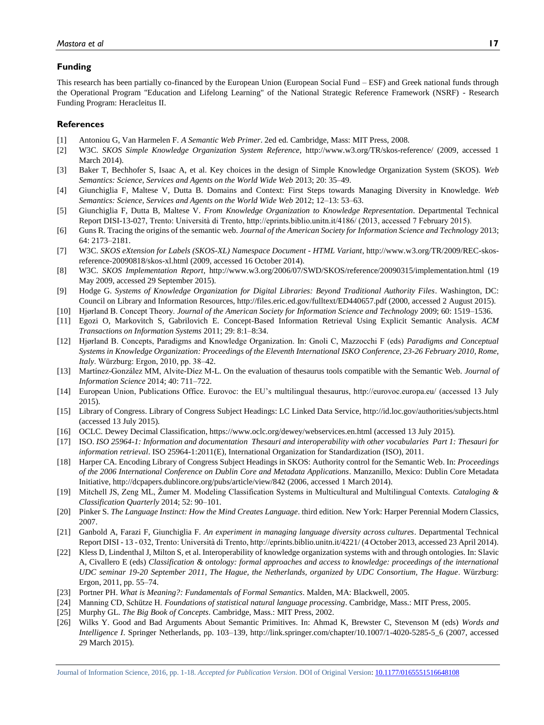### **Funding**

This research has been partially co-financed by the European Union (European Social Fund – ESF) and Greek national funds through the Operational Program "Education and Lifelong Learning" of the National Strategic Reference Framework (NSRF) - Research Funding Program: Heracleitus II.

#### **References**

- [1] Antoniou G, Van Harmelen F. *A Semantic Web Primer*. 2ed ed. Cambridge, Mass: MIT Press, 2008.
- [2] W3C. *SKOS Simple Knowledge Organization System Reference*, http://www.w3.org/TR/skos-reference/ (2009, accessed 1 March 2014).
- [3] Baker T, Bechhofer S, Isaac A, et al. Key choices in the design of Simple Knowledge Organization System (SKOS). *Web Semantics: Science, Services and Agents on the World Wide Web* 2013; 20: 35–49.
- [4] Giunchiglia F, Maltese V, Dutta B. Domains and Context: First Steps towards Managing Diversity in Knowledge. *Web Semantics: Science, Services and Agents on the World Wide Web* 2012; 12–13: 53–63.
- [5] Giunchiglia F, Dutta B, Maltese V. *From Knowledge Organization to Knowledge Representation*. Departmental Technical Report DISI-13-027, Trento: Università di Trento, http://eprints.biblio.unitn.it/4186/ (2013, accessed 7 February 2015).
- [6] Guns R. Tracing the origins of the semantic web. *Journal of the American Society for Information Science and Technology* 2013; 64: 2173–2181.
- [7] W3C. *SKOS eXtension for Labels (SKOS-XL) Namespace Document - HTML Variant*, http://www.w3.org/TR/2009/REC-skosreference-20090818/skos-xl.html (2009, accessed 16 October 2014).
- [8] W3C. *SKOS Implementation Report*, http://www.w3.org/2006/07/SWD/SKOS/reference/20090315/implementation.html (19 May 2009, accessed 29 September 2015).
- [9] Hodge G. *Systems of Knowledge Organization for Digital Libraries: Beyond Traditional Authority Files*. Washington, DC: Council on Library and Information Resources, http://files.eric.ed.gov/fulltext/ED440657.pdf (2000, accessed 2 August 2015).
- [10] Hjørland B. Concept Theory. *Journal of the American Society for Information Science and Technology* 2009; 60: 1519–1536.
- [11] Egozi O, Markovitch S, Gabrilovich E. Concept-Based Information Retrieval Using Explicit Semantic Analysis. *ACM Transactions on Information Systems* 2011; 29: 8:1–8:34.
- [12] Hjørland B. Concepts, Paradigms and Knowledge Organization. In: Gnoli C, Mazzocchi F (eds) *Paradigms and Conceptual Systems in Knowledge Organization: Proceedings of the Eleventh International ISKO Conference, 23-26 February 2010, Rome, Italy*. Würzburg: Ergon, 2010, pp. 38–42.
- [13] Martínez-González MM, Alvite-Díez M-L. On the evaluation of thesaurus tools compatible with the Semantic Web. *Journal of Information Science* 2014; 40: 711–722.
- [14] European Union, Publications Office. Eurovoc: the EU's multilingual thesaurus, http://eurovoc.europa.eu/ (accessed 13 July 2015).
- [15] Library of Congress. Library of Congress Subject Headings: LC Linked Data Service, http://id.loc.gov/authorities/subjects.html (accessed 13 July 2015).
- [16] OCLC. Dewey Decimal Classification, https://www.oclc.org/dewey/webservices.en.html (accessed 13 July 2015).
- [17] ISO. *ISO 25964-1: Information and documentation Thesauri and interoperability with other vocabularies Part 1: Thesauri for information retrieval*. ISO 25964-1:2011(E), International Organization for Standardization (ISO), 2011.
- [18] Harper CA. Encoding Library of Congress Subject Headings in SKOS: Authority control for the Semantic Web. In: *Proceedings of the 2006 International Conference on Dublin Core and Metadata Applications*. Manzanillo, Mexico: Dublin Core Metadata Initiative, http://dcpapers.dublincore.org/pubs/article/view/842 (2006, accessed 1 March 2014).
- [19] Mitchell JS, Zeng ML, Žumer M. Modeling Classification Systems in Multicultural and Multilingual Contexts. *Cataloging & Classification Quarterly* 2014; 52: 90–101.
- [20] Pinker S. *The Language Instinct: How the Mind Creates Language*. third edition. New York: Harper Perennial Modern Classics, 2007.
- [21] Ganbold A, Farazi F, Giunchiglia F. *An experiment in managing language diversity across cultures*. Departmental Technical Report DISI - 13 - 032, Trento: Università di Trento, http://eprints.biblio.unitn.it/4221/ (4 October 2013, accessed 23 April 2014).
- [22] Kless D, Lindenthal J, Milton S, et al. Interoperability of knowledge organization systems with and through ontologies. In: Slavic A, Civallero E (eds) *Classification & ontology: formal approaches and access to knowledge: proceedings of the international UDC seminar 19-20 September 2011, The Hague, the Netherlands, organized by UDC Consortium, The Hague*. Würzburg: Ergon, 2011, pp. 55–74.
- [23] Portner PH. *What is Meaning?: Fundamentals of Formal Semantics*. Malden, MA: Blackwell, 2005.
- [24] Manning CD, Schütze H. *Foundations of statistical natural language processing*. Cambridge, Mass.: MIT Press, 2005.
- [25] Murphy GL. *The Big Book of Concepts*. Cambridge, Mass.: MIT Press, 2002.
- [26] Wilks Y. Good and Bad Arguments About Semantic Primitives. In: Ahmad K, Brewster C, Stevenson M (eds) *Words and Intelligence I*. Springer Netherlands, pp. 103–139, http://link.springer.com/chapter/10.1007/1-4020-5285-5\_6 (2007, accessed 29 March 2015).